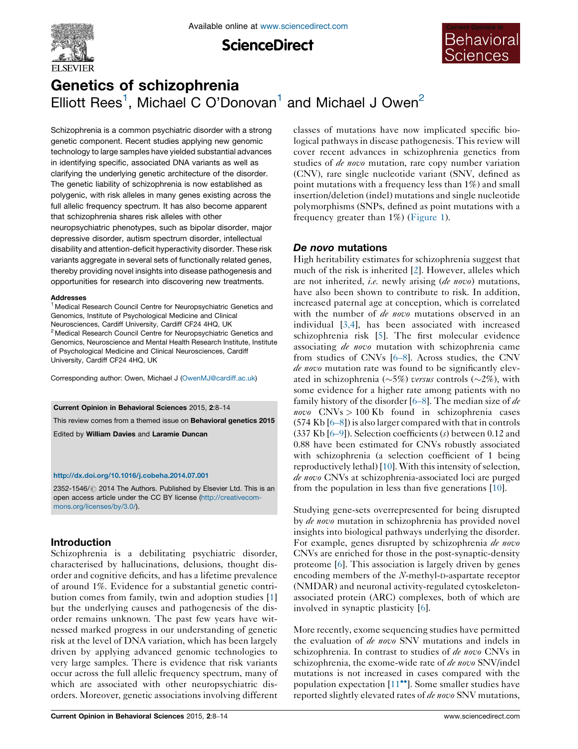

**ScienceDirect** 



# Genetics of schizophrenia Elliott Rees<sup>1</sup>, Michael C O'Donovan<sup>1</sup> and Michael J Owen<sup>2</sup>

Schizophrenia is a common psychiatric disorder with a strong genetic component. Recent studies applying new genomic technology to large samples have yielded substantial advances in identifying specific, associated DNA variants as well as clarifying the underlying genetic architecture of the disorder. The genetic liability of schizophrenia is now established as polygenic, with risk alleles in many genes existing across the full allelic frequency spectrum. It has also become apparent that schizophrenia shares risk alleles with other neuropsychiatric phenotypes, such as bipolar disorder, major depressive disorder, autism spectrum disorder, intellectual disability and attention-deficit hyperactivity disorder. These risk variants aggregate in several sets of functionally related genes, thereby providing novel insights into disease pathogenesis and opportunities for research into discovering new treatments.

#### Addresses

<sup>1</sup> Medical Research Council Centre for Neuropsychiatric Genetics and Genomics, Institute of Psychological Medicine and Clinical Neurosciences, Cardiff University, Cardiff CF24 4HQ, UK <sup>2</sup> Medical Research Council Centre for Neuropsychiatric Genetics and Genomics, Neuroscience and Mental Health Research Institute, Institute of Psychological Medicine and Clinical Neurosciences, Cardiff University, Cardiff CF24 4HQ, UK

Corresponding author: Owen, Michael J [\(OwenMJ@cardiff.ac.uk\)](OwenMJ@cardiff.ac.uk)

#### Current Opinion in Behavioral Sciences 2015, 2:8–14

This review comes from a themed issue on Behavioral genetics 2015

Edited by William Davies and Laramie Duncan

#### <http://dx.doi.org/10.1016/j.cobeha.2014.07.001>

2352-1546/ 2014 The Authors. Published by Elsevier Ltd. This is an open access article under the CC BY license [\(http://creativecom](http://creativecommons.org/licenses/by/3.0/)[mons.org/licenses/by/3.0/\)](http://creativecommons.org/licenses/by/3.0/).

## Introduction

Schizophrenia is a debilitating psychiatric disorder, characterised by hallucinations, delusions, thought disorder and cognitive deficits, and has a lifetime prevalence of around 1%. Evidence for a substantial genetic contribution comes from family, twin and adoption studies [[1\]](#page-4-0) but the underlying causes and pathogenesis of the disorder remains unknown. The past few years have witnessed marked progress in our understanding of genetic risk at the level of DNA variation, which has been largely driven by applying advanced genomic technologies to very large samples. There is evidence that risk variants occur across the full allelic frequency spectrum, many of which are associated with other neuropsychiatric disorders. Moreover, genetic associations involving different classes of mutations have now implicated specific biological pathways in disease pathogenesis. This review will cover recent advances in schizophrenia genetics from studies of *de novo* mutation, rare copy number variation (CNV), rare single nucleotide variant (SNV, defined as point mutations with a frequency less than 1%) and small insertion/deletion (indel) mutations and single nucleotide polymorphisms (SNPs, defined as point mutations with a frequency greater than 1%) [\(Figure](#page-1-0) 1).

## De novo mutations

High heritability estimates for schizophrenia suggest that much of the risk is inherited [\[2](#page-4-0)]. However, alleles which are not inherited, *i.e.* newly arising (*de novo*) mutations, have also been shown to contribute to risk. In addition, increased paternal age at conception, which is correlated with the number of *de novo* mutations observed in an individual [[3,4](#page-4-0)], has been associated with increased schizophrenia risk [[5\]](#page-4-0). The first molecular evidence associating de novo mutation with schizophrenia came from studies of CNVs [6–[8\]](#page-4-0). Across studies, the CNV de novo mutation rate was found to be significantly elevated in schizophrenia ( $\sim$ 5%) versus controls ( $\sim$ 2%), with some evidence for a higher rate among patients with no family history of the disorder  $[6–8]$  $[6–8]$ . The median size of *de novo*  $CNVs > 100 Kb$  found in schizophrenia cases (574 Kb [6–[8\]](#page-4-0)) is also larger compared with that in controls (337 Kb [6[–](#page-4-0)9]). Selection coefficients (s) between 0.12 and 0.88 have been estimated for CNVs robustly associated with schizophrenia (a selection coefficient of 1 being reproductively lethal)  $[10]$  $[10]$ . With this intensity of selection, de novo CNVs at schizophrenia-associated loci are purged from the population in less than five generations [\[10\]](#page-4-0).

Studying gene-sets overrepresented for being disrupted by *de novo* mutation in schizophrenia has provided novel insights into biological pathways underlying the disorder. For example, genes disrupted by schizophrenia de novo CNVs are enriched for those in the post-synaptic-density proteome [[6\]](#page-4-0). This association is largely driven by genes encoding members of the N-methyl-D-aspartate receptor (NMDAR) and neuronal activity-regulated cytoskeletonassociated protein (ARC) complexes, both of which are involved in synaptic plasticity [[6\]](#page-4-0).

More recently, exome sequencing studies have permitted the evaluation of de novo SNV mutations and indels in schizophrenia. In contrast to studies of de novo CNVs in schizophrenia, the exome-wide rate of de novo SNV/indel mutations is not increased in cases compared with the population expectation  $[11\text{ }^{\bullet}$  $[11\text{ }^{\bullet}$ ]. Some smaller studies have reported slightly elevated rates of de novo SNV mutations,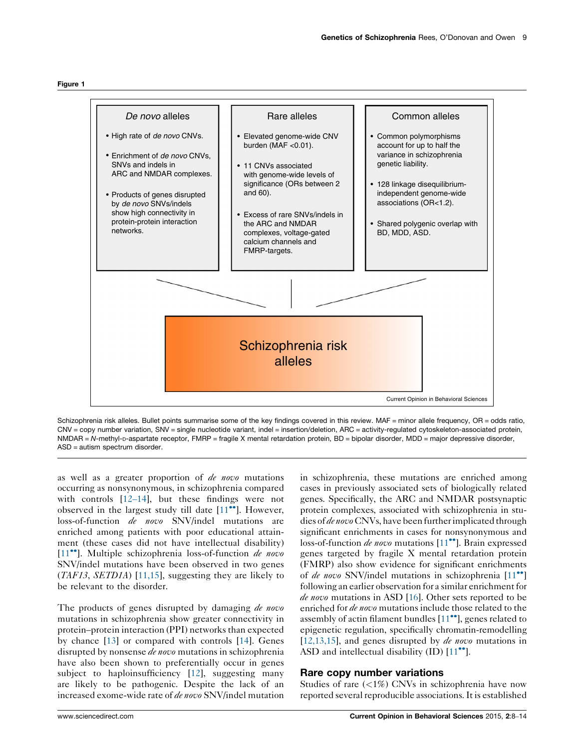<span id="page-1-0"></span>



Schizophrenia risk alleles. Bullet points summarise some of the key findings covered in this review. MAF = minor allele frequency, OR = odds ratio, CNV = copy number variation, SNV = single nucleotide variant, indel = insertion/deletion, ARC = activity-regulated cytoskeleton-associated protein, NMDAR = N-methyl-p-aspartate receptor, FMRP = fragile X mental retardation protein, BD = bipolar disorder, MDD = major depressive disorder, ASD = autism spectrum disorder.

as well as a greater proportion of de novo mutations occurring as nonsynonymous, in schizophrenia compared with controls [\[12](#page-4-0)–14], but these findings were not observed in the largest study till date  $[11\text{'''}]$  $[11\text{'''}]$  $[11\text{'''}]$ . However, loss-of-function de novo SNV/indel mutations are enriched among patients with poor educational attainment (these cases did not have intellectual disability)  $[11$ <sup>••</sup>]. Multiple schizophrenia loss-of-function *de novo* SNV/indel mutations have been observed in two genes  $(TAF13, SET D1A)$  [[11,15](#page-4-0)], suggesting they are likely to be relevant to the disorder.

The products of genes disrupted by damaging *de novo* mutations in schizophrenia show greater connectivity in protein–protein interaction (PPI) networks than expected by chance [\[13](#page-4-0)] or compared with controls [[14\]](#page-4-0). Genes disrupted by nonsense *de novo* mutations in schizophrenia have also been shown to preferentially occur in genes subject to haploinsufficiency [\[12](#page-4-0)], suggesting many are likely to be pathogenic. Despite the lack of an increased exome-wide rate of de novo SNV/indel mutation in schizophrenia, these mutations are enriched among cases in previously associated sets of biologically related genes. Specifically, the ARC and NMDAR postsynaptic protein complexes, associated with schizophrenia in studies of de novo CNVs, have been further implicated through significant enrichments in cases for nonsynonymous and loss-of-function *de novo* mutations  $[11\text{°}']$  $[11\text{°}']$  $[11\text{°}']$ . Brain expressed genes targeted by fragile X mental retardation protein (FMRP) also show evidence for significant enrichments of *de novo* SNV/indel mutations in schizophrenia  $[11\bullet$  $[11\bullet$  $[11\bullet$ <sup>0</sup>] following an earlier observation for a similar enrichment for de novo mutations in ASD [\[16](#page-4-0)]. Other sets reported to be enriched for *de novo* mutations include those related to the assembly of actin filament bundles  $[11\text{'''}]$  $[11\text{'''}]$ , genes related to epigenetic regulation, specifically chromatin-remodelling [\[12,13,15\]](#page-4-0), and genes disrupted by *de novo* mutations in ASD and intellectual disability  $(ID) [11<sup>••</sup>].$  $(ID) [11<sup>••</sup>].$  $(ID) [11<sup>••</sup>].$ 

## Rare copy number variations

Studies of rare  $\left(\langle 1\% \right)$  CNVs in schizophrenia have now reported several reproducible associations. It is established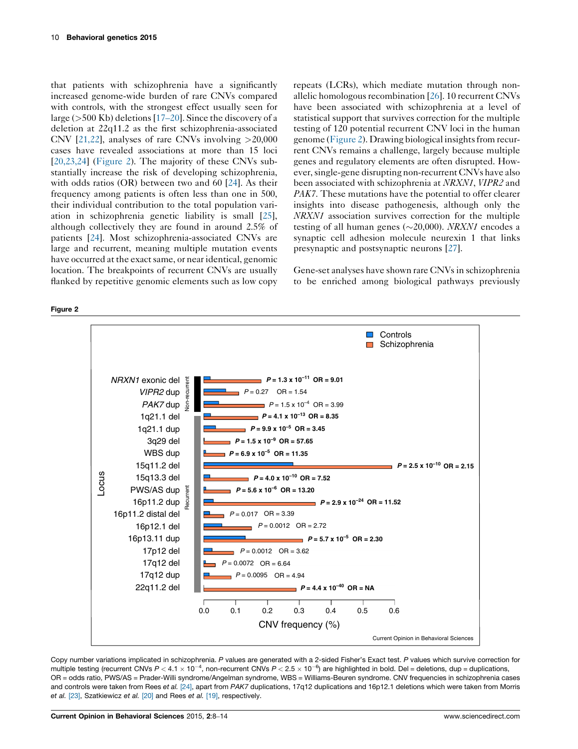<span id="page-2-0"></span>that patients with schizophrenia have a significantly increased genome-wide burden of rare CNVs compared with controls, with the strongest effect usually seen for large ( $>500$  Kb) deletions [\[17](#page-5-0)–20]. Since the discovery of a deletion at 22q11.2 as the first schizophrenia-associated CNV [\[21,22](#page-5-0)], analyses of rare CNVs involving  $>20,000$ cases have revealed associations at more than 15 loci [\[20,23,24\]](#page-5-0) (Figure 2). The majority of these CNVs substantially increase the risk of developing schizophrenia, with odds ratios (OR) between two and 60 [[24\]](#page-5-0). As their frequency among patients is often less than one in 500, their individual contribution to the total population variation in schizophrenia genetic liability is small [\[25](#page-5-0)], although collectively they are found in around 2.5% of patients [[24](#page-5-0)]. Most schizophrenia-associated CNVs are large and recurrent, meaning multiple mutation events have occurred at the exact same, or near identical, genomic location. The breakpoints of recurrent CNVs are usually flanked by repetitive genomic elements such as low copy repeats (LCRs), which mediate mutation through nonallelic homologous recombination [[26\]](#page-5-0). 10 recurrent CNVs have been associated with schizophrenia at a level of statistical support that survives correction for the multiple testing of 120 potential recurrent CNV loci in the human genome (Figure 2). Drawing biological insightsfrom recurrent CNVs remains a challenge, largely because multiple genes and regulatory elements are often disrupted. However,single-gene disrupting non-recurrent CNVs have also been associated with schizophrenia at NRXN1, VIPR2 and PAK7. These mutations have the potential to offer clearer insights into disease pathogenesis, although only the NRXN1 association survives correction for the multiple testing of all human genes ( $\sim$ 20,000). *NRXN1* encodes a synaptic cell adhesion molecule neurexin 1 that links presynaptic and postsynaptic neurons [[27\]](#page-5-0).

Gene-set analyses have shown rare CNVs in schizophrenia to be enriched among biological pathways previously



Copy number variations implicated in schizophrenia. P values are generated with a 2-sided Fisher's Exact test. P values which survive correction for multiple testing (recurrent CNVs  $P < 4.1 \times 10^{-4}$ , non-recurrent CNVs  $P < 2.5 \times 10^{-6})$  are highlighted in bold. Del = deletions, dup = duplications, OR = odds ratio, PWS/AS = Prader-Willi syndrome/Angelman syndrome, WBS = Williams-Beuren syndrome. CNV frequencies in schizophrenia cases and controls were taken from Rees et al. [\[24\]](#page-5-0), apart from PAK7 duplications, 17q12 duplications and 16p12.1 deletions which were taken from Morris et al. [\[23\]](#page-5-0), Szatkiewicz et al. [\[20\]](#page-5-0) and Rees et al. [\[19\],](#page-5-0) respectively.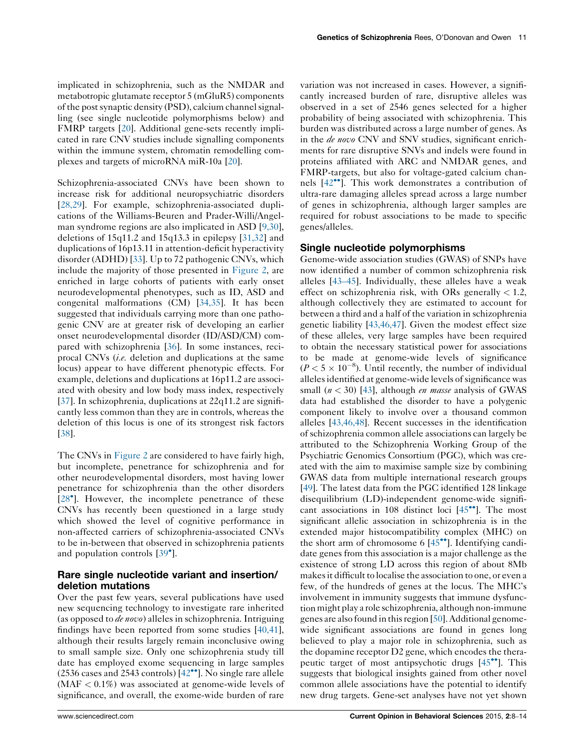implicated in schizophrenia, such as the NMDAR and metabotropic glutamate receptor 5 (mGluR5) components of the post synaptic density (PSD), calcium channel signalling (see single nucleotide polymorphisms below) and FMRP targets [[20\]](#page-5-0). Additional gene-sets recently implicated in rare CNV studies include signalling components within the immune system, chromatin remodelling complexes and targets of microRNA miR-10a [[20](#page-5-0)].

Schizophrenia-associated CNVs have been shown to increase risk for additional neuropsychiatric disorders [\[28,29\]](#page-5-0). For example, schizophrenia-associated duplications of the Williams-Beuren and Prader-Willi/Angelman syndrome regions are also implicated in ASD [[9,30](#page-4-0)], deletions of 15q11.2 and 15q13.3 in epilepsy [[31,32](#page-5-0)] and duplications of 16p13.11 in attention-deficit hyperactivity disorder (ADHD) [[33\]](#page-5-0). Up to 72 pathogenic CNVs, which include the majority of those presented in [Figure](#page-2-0) 2, are enriched in large cohorts of patients with early onset neurodevelopmental phenotypes, such as ID, ASD and congenital malformations (CM) [\[34,35\]](#page-5-0). It has been suggested that individuals carrying more than one pathogenic CNV are at greater risk of developing an earlier onset neurodevelopmental disorder (ID/ASD/CM) compared with schizophrenia [\[36](#page-5-0)]. In some instances, reciprocal CNVs (i.e. deletion and duplications at the same locus) appear to have different phenotypic effects. For example, deletions and duplications at 16p11.2 are associated with obesity and low body mass index, respectively [\[37](#page-5-0)]. In schizophrenia, duplications at 22q11.2 are significantly less common than they are in controls, whereas the deletion of this locus is one of its strongest risk factors [\[38](#page-5-0)].

The CNVs in [Figure](#page-2-0) 2 are considered to have fairly high, but incomplete, penetrance for schizophrenia and for other neurodevelopmental disorders, most having lower penetrance for schizophrenia than the other disorders [\[28](#page-5-0)<sup>\*</sup>]. However, the incomplete penetrance of these CNVs has recently been questioned in a large study which showed the level of cognitive performance in non-affected carriers of schizophrenia-associated CNVs to be in-between that observed in schizophrenia patients and population controls [\[39](#page-5-0)°].

## Rare single nucleotide variant and insertion/ deletion mutations

Over the past few years, several publications have used new sequencing technology to investigate rare inherited (as opposed to *de novo*) alleles in schizophrenia. Intriguing findings have been reported from some studies [[40,41](#page-5-0)], although their results largely remain inconclusive owing to small sample size. Only one schizophrenia study till date has employed exome sequencing in large samples  $(2536 \text{ cases and } 2543 \text{ controls})$  [[42](#page-5-0)<sup>\*\*</sup>]. No single rare allele  $(MAF < 0.1\%)$  was associated at genome-wide levels of significance, and overall, the exome-wide burden of rare variation was not increased in cases. However, a significantly increased burden of rare, disruptive alleles was observed in a set of 2546 genes selected for a higher probability of being associated with schizophrenia. This burden was distributed across a large number of genes. As in the *de novo* CNV and SNV studies, significant enrichments for rare disruptive SNVs and indels were found in proteins affiliated with ARC and NMDAR genes, and FMRP-targets, but also for voltage-gated calcium channels  $[42^{\bullet\bullet}]$  $[42^{\bullet\bullet}]$  $[42^{\bullet\bullet}]$ . This work demonstrates a contribution of ultra-rare damaging alleles spread across a large number of genes in schizophrenia, although larger samples are required for robust associations to be made to specific genes/alleles.

## Single nucleotide polymorphisms

Genome-wide association studies (GWAS) of SNPs have now identified a number of common schizophrenia risk alleles [\[43](#page-5-0)–45]. Individually, these alleles have a weak effect on schizophrenia risk, with ORs generally  $< 1.2$ , although collectively they are estimated to account for between a third and a half of the variation in schizophrenia genetic liability [[43,46,47](#page-5-0)]. Given the modest effect size of these alleles, very large samples have been required to obtain the necessary statistical power for associations to be made at genome-wide levels of significance  $(P < 5 \times 10^{-8})$ . Until recently, the number of individual alleles identified at genome-wide levels of significance was small  $(n < 30)$  [[43\]](#page-5-0), although *en masse* analysis of GWAS data had established the disorder to have a polygenic component likely to involve over a thousand common alleles [[43,46,48](#page-5-0)]. Recent successes in the identification of schizophrenia common allele associations can largely be attributed to the Schizophrenia Working Group of the Psychiatric Genomics Consortium (PGC), which was created with the aim to maximise sample size by combining GWAS data from multiple international research groups [\[49](#page-6-0)]. The latest data from the PGC identified 128 linkage disequilibrium (LD)-independent genome-wide significant associations in 108 distinct loci  $[45\text{''}]$  $[45\text{''}]$  $[45\text{''}]$ . The most significant allelic association in schizophrenia is in the extended major histocompatibility complex (MHC) on the short arm of chromosome  $6 \times 145$ . Identifying candidate genes from this association is a major challenge as the existence of strong LD across this region of about 8Mb makes it difficult to localise the association to one, or even a few, of the hundreds of genes at the locus. The MHC's involvement in immunity suggests that immune dysfunction might play a role schizophrenia, although non-immune genes are also found in thisregion [\[50](#page-6-0)].Additional genomewide significant associations are found in genes long believed to play a major role in schizophrenia, such as the dopamine receptor D2 gene, which encodes the therapeutic target of most antipsychotic drugs  $[45\degree]$  $[45\degree]$ . This suggests that biological insights gained from other novel common allele associations have the potential to identify new drug targets. Gene-set analyses have not yet shown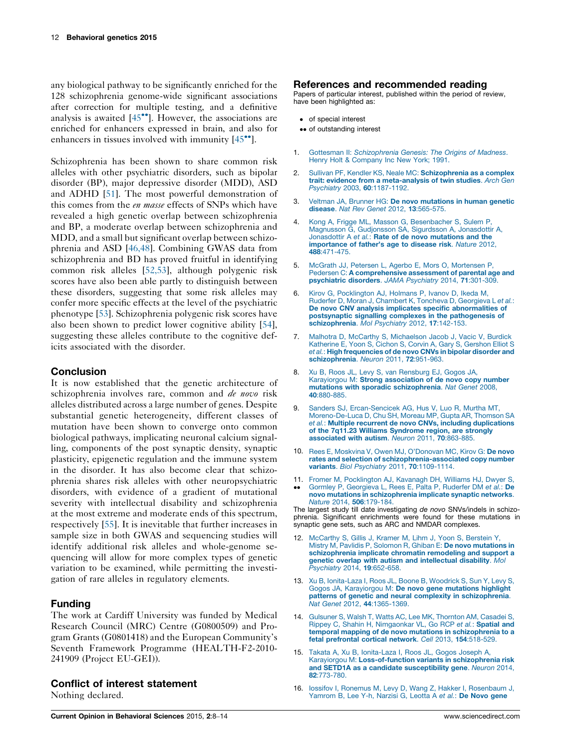<span id="page-4-0"></span>any biological pathway to be significantly enriched for the 128 schizophrenia genome-wide significant associations after correction for multiple testing, and a definitive analysis is awaited  $[45\degree]$  $[45\degree]$  $[45\degree]$ . However, the associations are enriched for enhancers expressed in brain, and also for enhancers in tissues involved with immunity  $[45\degree]$  $[45\degree]$  $[45\degree]$ .

Schizophrenia has been shown to share common risk alleles with other psychiatric disorders, such as bipolar disorder (BP), major depressive disorder (MDD), ASD and ADHD [\[51](#page-6-0)]. The most powerful demonstration of this comes from the en masse effects of SNPs which have revealed a high genetic overlap between schizophrenia and BP, a moderate overlap between schizophrenia and MDD, and a small but significant overlap between schizophrenia and ASD [\[46,48\]](#page-5-0). Combining GWAS data from schizophrenia and BD has proved fruitful in identifying common risk alleles [\[52,53\]](#page-6-0), although polygenic risk scores have also been able partly to distinguish between these disorders, suggesting that some risk alleles may confer more specific effects at the level of the psychiatric phenotype [[53\]](#page-6-0). Schizophrenia polygenic risk scores have also been shown to predict lower cognitive ability [\[54](#page-6-0)], suggesting these alleles contribute to the cognitive deficits associated with the disorder.

## **Conclusion**

It is now established that the genetic architecture of schizophrenia involves rare, common and *de novo* risk alleles distributed across a large number of genes. Despite substantial genetic heterogeneity, different classes of mutation have been shown to converge onto common biological pathways, implicating neuronal calcium signalling, components of the post synaptic density, synaptic plasticity, epigenetic regulation and the immune system in the disorder. It has also become clear that schizophrenia shares risk alleles with other neuropsychiatric disorders, with evidence of a gradient of mutational severity with intellectual disability and schizophrenia at the most extreme and moderate ends of this spectrum, respectively [[55\]](#page-6-0). It is inevitable that further increases in sample size in both GWAS and sequencing studies will identify additional risk alleles and whole-genome sequencing will allow for more complex types of genetic variation to be examined, while permitting the investigation of rare alleles in regulatory elements.

## Funding

The work at Cardiff University was funded by Medical Research Council (MRC) Centre (G0800509) and Program Grants (G0801418) and the European Community's Seventh Framework Programme (HEALTH-F2-2010- 241909 (Project EU-GEI)).

#### Conflict of interest statement

Nothing declared.

## References and recommended reading

Papers of particular interest, published within the period of review, have been highlighted as:

- of special interest
- •• of outstanding interest
- 1. Gottesman II: [Schizophrenia](http://refhub.elsevier.com/S2352-1546(14)00003-5/sbref0005) Genesis: The Origins of Madness. Henry Holt & [Company](http://refhub.elsevier.com/S2352-1546(14)00003-5/sbref0005) Inc New York; 1991[.](http://refhub.elsevier.com/S2352-1546(14)00003-5/sbref0005)
- 2. Sullivan PF, Kendler KS, Neale MC: [Schizophrenia](http://refhub.elsevier.com/S2352-1546(14)00003-5/sbref0010) as a complex trait: evidence from a [meta-analysis](http://refhub.elsevier.com/S2352-1546(14)00003-5/sbref0010) of twin studies. Arch Gen Psychiatry 2003, 60[:1187-1192.](http://refhub.elsevier.com/S2352-1546(14)00003-5/sbref0010)
- 3. Veltman JA, Brunner HG: De novo [mutations](http://refhub.elsevier.com/S2352-1546(14)00003-5/sbref0015) in human genetic disease. Nat Rev Genet 2012, 13[:565-575.](http://refhub.elsevier.com/S2352-1546(14)00003-5/sbref0015)
- 4. Kong A, Frigge ML, Masson G, [Besenbacher](http://refhub.elsevier.com/S2352-1546(14)00003-5/sbref0020) S, Sulem P, Magnusson G, [Gudjonsson](http://refhub.elsevier.com/S2352-1546(14)00003-5/sbref0020) SA, Sigurdsson A, Jonasdottir A, [Jonasdottir](http://refhub.elsevier.com/S2352-1546(14)00003-5/sbref0020) A et al.: Rate of de novo mutations and the [importance](http://refhub.elsevier.com/S2352-1546(14)00003-5/sbref0020) of father's age to disease risk. Nature 2012, 488[:471-475.](http://refhub.elsevier.com/S2352-1546(14)00003-5/sbref0020)
- 5. McGrath JJ, Petersen L, Agerbo E, Mors O, [Mortensen](http://refhub.elsevier.com/S2352-1546(14)00003-5/sbref0025) P, Pedersen C: A [comprehensive](http://refhub.elsevier.com/S2352-1546(14)00003-5/sbref0025) assessment of parental age and [psychiatric](http://refhub.elsevier.com/S2352-1546(14)00003-5/sbref0025) disorders. JAMA Psychiatry 2014, 71:301-309.
- 6. Kirov G, [Pocklington](http://refhub.elsevier.com/S2352-1546(14)00003-5/sbref0030) AJ, Holmans P, Ivanov D, Ikeda M, Ruderfer D, Moran J, Chambert K, Toncheva D, [Georgieva](http://refhub.elsevier.com/S2352-1546(14)00003-5/sbref0030) L et al.: De novo CNV analysis implicates specific [abnormalities](http://refhub.elsevier.com/S2352-1546(14)00003-5/sbref0030) of postsynaptic signalling complexes in the [pathogenesis](http://refhub.elsevier.com/S2352-1546(14)00003-5/sbref0030) of [schizophrenia](http://refhub.elsevier.com/S2352-1546(14)00003-5/sbref0030). Mol Psychiatry 2012, 17:142-153.
- 7. Malhotra D, McCarthy S, [Michaelson](http://refhub.elsevier.com/S2352-1546(14)00003-5/sbref0035) Jacob J, Vacic V, Burdick [Katherine](http://refhub.elsevier.com/S2352-1546(14)00003-5/sbref0035) E, Yoon S, Cichon S, Corvin A, Gary S, Gershon Elliot S et al.: High [frequencies](http://refhub.elsevier.com/S2352-1546(14)00003-5/sbref0035) of de novo CNVs in bipolar disorder and [schizophrenia](http://refhub.elsevier.com/S2352-1546(14)00003-5/sbref0035). Neuron 2011, 72:951-963.
- 8. Xu B, Roos JL, Levy S, van [Rensburg](http://refhub.elsevier.com/S2352-1546(14)00003-5/sbref0040) EJ, Gogos JA, Karayiorgou M: Strong [association](http://refhub.elsevier.com/S2352-1546(14)00003-5/sbref0040) of de novo copy number mutations with sporadic [schizophrenia](http://refhub.elsevier.com/S2352-1546(14)00003-5/sbref0040). Nat Genet 2008, 40[:880-885.](http://refhub.elsevier.com/S2352-1546(14)00003-5/sbref0040)
- 9. Sanders SJ, [Ercan-Sencicek](http://refhub.elsevier.com/S2352-1546(14)00003-5/sbref0045) AG, Hus V, Luo R, Murtha MT, [Moreno-De-Luca](http://refhub.elsevier.com/S2352-1546(14)00003-5/sbref0045) D, Chu SH, Moreau MP, Gupta AR, Thomson SA et al.: Multiple recurrent de novo CNVs, including [duplications](http://refhub.elsevier.com/S2352-1546(14)00003-5/sbref0045) of the 7q11.23 Williams [Syndrome](http://refhub.elsevier.com/S2352-1546(14)00003-5/sbref0045) region, are strongly [associated](http://refhub.elsevier.com/S2352-1546(14)00003-5/sbref0045) with autism. Neuron 2011, 70:863-885.
- 10. Rees E, Moskvina V, Owen MJ, [O'Donovan](http://refhub.elsevier.com/S2352-1546(14)00003-5/sbref0050) MC, Kirov G: De novo rates and selection of [schizophrenia-associated](http://refhub.elsevier.com/S2352-1546(14)00003-5/sbref0050) copy number variants. Biol Psychiatry 2011, 70[:1109-1114.](http://refhub.elsevier.com/S2352-1546(14)00003-5/sbref0050)
- 11. Fromer M, [Pocklington](http://refhub.elsevier.com/S2352-1546(14)00003-5/sbref0055) AJ, Kavanagh DH, Williams HJ, Dwyer S,  $\bullet \bullet$ Gormley P, [Georgieva](http://refhub.elsevier.com/S2352-1546(14)00003-5/sbref0055) L, Rees E, Palta P, Ruderfer DM et al.: De novo mutations in [schizophrenia](http://refhub.elsevier.com/S2352-1546(14)00003-5/sbref0055) implicate synaptic networks. Nature 2014, 506[:179-184.](http://refhub.elsevier.com/S2352-1546(14)00003-5/sbref0055)

The largest study till date investigating de novo SNVs/indels in schizophrenia. Significant enrichments were found for these mutations in synaptic gene sets, such as ARC and NMDAR complexes.

- 12. [McCarthy](http://refhub.elsevier.com/S2352-1546(14)00003-5/sbref0060) S, Gillis J, Kramer M, Lihm J, Yoon S, Berstein Y, Mistry M, Pavlidis P, Solomon R, Ghiban E: De novo [mutations](http://refhub.elsevier.com/S2352-1546(14)00003-5/sbref0060) in [schizophrenia](http://refhub.elsevier.com/S2352-1546(14)00003-5/sbref0060) implicate chromatin remodeling and support a genetic overlap with autism and [intellectual](http://refhub.elsevier.com/S2352-1546(14)00003-5/sbref0060) disability. Mol [Psychiatry](http://refhub.elsevier.com/S2352-1546(14)00003-5/sbref0060) 2014, 19:652-658.
- 13. Xu B, [Ionita-Laza](http://refhub.elsevier.com/S2352-1546(14)00003-5/sbref0065) I, Roos JL, Boone B, Woodrick S, Sun Y, Levy S, Gogos JA, [Karayiorgou](http://refhub.elsevier.com/S2352-1546(14)00003-5/sbref0065) M: De novo gene mutations highlight patterns of genetic and neural complexity in [schizophrenia](http://refhub.elsevier.com/S2352-1546(14)00003-5/sbref0065). Nat Genet 2012, 44[:1365-1369.](http://refhub.elsevier.com/S2352-1546(14)00003-5/sbref0065)
- 14. Gulsuner S, Walsh T, Watts AC, Lee MK, [Thornton](http://refhub.elsevier.com/S2352-1546(14)00003-5/sbref0070) AM, Casadei S, Rippey C, Shahin H, [Nimgaonkar](http://refhub.elsevier.com/S2352-1546(14)00003-5/sbref0070) VL, Go RCP et al.: Spatial and temporal mapping of de novo mutations in [schizophrenia](http://refhub.elsevier.com/S2352-1546(14)00003-5/sbref0070) to a fetal [prefrontal](http://refhub.elsevier.com/S2352-1546(14)00003-5/sbref0070) cortical network. Cell 2013, 154:518-529.
- 15. Takata A, Xu B, [Ionita-Laza](http://refhub.elsevier.com/S2352-1546(14)00003-5/sbref0075) I, Roos JL, Gogos Joseph A, Karayiorgou M: [Loss-of-function](http://refhub.elsevier.com/S2352-1546(14)00003-5/sbref0075) variants in schizophrenia risk and SETD1A as a candidate [susceptibility](http://refhub.elsevier.com/S2352-1546(14)00003-5/sbref0075) gene. Neuron 2014, 82[:773-780.](http://refhub.elsevier.com/S2352-1546(14)00003-5/sbref0075)
- 16. Iossifov I, Ronemus M, Levy D, Wang Z, Hakker I, [Rosenbaum](http://refhub.elsevier.com/S2352-1546(14)00003-5/sbref0080) J, [Yamrom](http://refhub.elsevier.com/S2352-1546(14)00003-5/sbref0080) B, Lee Y-h, Narzisi G, Leotta A et al.: De Novo gene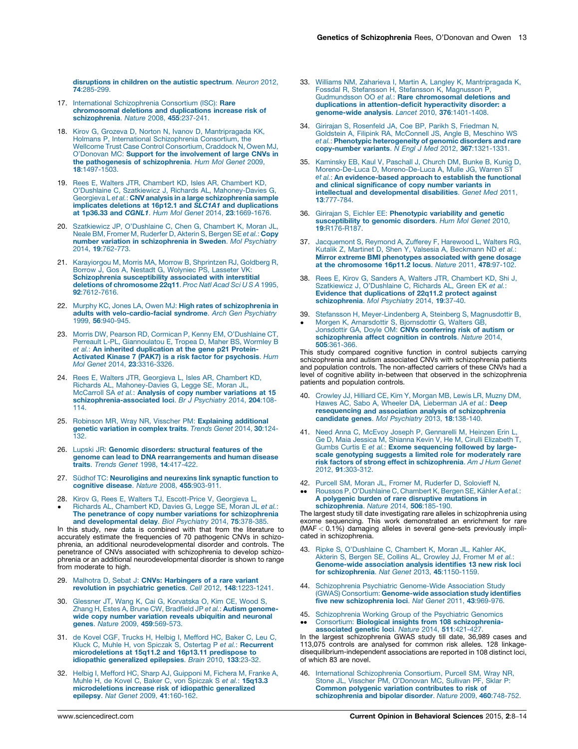<span id="page-5-0"></span>[disruptions](http://refhub.elsevier.com/S2352-1546(14)00003-5/sbref0080) in children on the autistic spectrum. Neuron 2012, **74.285-299** 

- 17. International [Schizophrenia](http://refhub.elsevier.com/S2352-1546(14)00003-5/sbref0085) Consortium (ISC): Rare [chromosomal](http://refhub.elsevier.com/S2352-1546(14)00003-5/sbref0085) deletions and duplications increase risk of [schizophrenia](http://refhub.elsevier.com/S2352-1546(14)00003-5/sbref0085). Nature 2008, 455:237-241.
- 18. Kirov G, Grozeva D, Norton N, Ivanov D, [Mantripragada](http://refhub.elsevier.com/S2352-1546(14)00003-5/sbref0090) KK, Holmans P, International [Schizophrenia](http://refhub.elsevier.com/S2352-1546(14)00003-5/sbref0090) Consortium, the Wellcome Trust Case Control [Consortium,](http://refhub.elsevier.com/S2352-1546(14)00003-5/sbref0090) Craddock N, Owen MJ, O'Donovan MC: Support for the [involvement](http://refhub.elsevier.com/S2352-1546(14)00003-5/sbref0090) of large CNVs in the pathogenesis of [schizophrenia](http://refhub.elsevier.com/S2352-1546(14)00003-5/sbref0090). Hum Mol Genet 2009, 18[:1497-1503.](http://refhub.elsevier.com/S2352-1546(14)00003-5/sbref0090)
- 19. Rees E, Walters JTR, Chambert KD, Isles AR, [Chambert](http://refhub.elsevier.com/S2352-1546(14)00003-5/sbref0095) KD, O'Dushlaine C, Szatkiewicz J, Richards AL, [Mahoney-Davies](http://refhub.elsevier.com/S2352-1546(14)00003-5/sbref0095) G,<br>Georgieva L*et al.*: **CNV analysis in a large [schizophrenia](http://refhub.elsevier.com/S2352-1546(14)00003-5/sbref0095) sample** implicates deletions at 16p12.1 and SLC1A1 and [duplications](http://refhub.elsevier.com/S2352-1546(14)00003-5/sbref0095) at 1p36.33 and CGNL1. Hum Mol Genet 2014, 23[:1669-1676.](http://refhub.elsevier.com/S2352-1546(14)00003-5/sbref0095)
- 20. Szatkiewicz JP, [O'Dushlaine](http://refhub.elsevier.com/S2352-1546(14)00003-5/sbref0100) C, Chen G, Chambert K, Moran JL, Neale BM, Fromer M, [Ruderfer](http://refhub.elsevier.com/S2352-1546(14)00003-5/sbref0100) D, Akterin S, Bergen SE et al.: Copy number variation in [schizophrenia](http://refhub.elsevier.com/S2352-1546(14)00003-5/sbref0100) in Sweden. Mol Psychiatry 2014, 19[:762-773.](http://refhub.elsevier.com/S2352-1546(14)00003-5/sbref0100)
- 21. [Karayiorgou](http://refhub.elsevier.com/S2352-1546(14)00003-5/sbref0105) M, Morris MA, Morrow B, Shprintzen RJ, Goldberg R, Borrow J, Gos A, Nestadt G, [Wolyniec](http://refhub.elsevier.com/S2352-1546(14)00003-5/sbref0105) PS, Lasseter VK: [Schizophrenia](http://refhub.elsevier.com/S2352-1546(14)00003-5/sbref0105) susceptibility associated with interstitial deletions of [chromosome](http://refhub.elsevier.com/S2352-1546(14)00003-5/sbref0105) 22q11. Proc Natl Acad Sci U S A 1995, 92[:7612-7616.](http://refhub.elsevier.com/S2352-1546(14)00003-5/sbref0105)
- 22. Murphy KC, Jones LA, Owen MJ: High rates of [schizophrenia](http://refhub.elsevier.com/S2352-1546(14)00003-5/sbref0110) in adults with [velo-cardio-facial](http://refhub.elsevier.com/S2352-1546(14)00003-5/sbref0110) syndrome. Arch Gen Psychiatry 1999, 56[:940-945.](http://refhub.elsevier.com/S2352-1546(14)00003-5/sbref0110)
- 23. Morris DW, Pearson RD, Cormican P, Kenny EM, [O'Dushlaine](http://refhub.elsevier.com/S2352-1546(14)00003-5/sbref0115) CT, Perreault L-PL, [Giannoulatou](http://refhub.elsevier.com/S2352-1546(14)00003-5/sbref0115) E, Tropea D, Maher BS, Wormley B et al.: An inherited [duplication](http://refhub.elsevier.com/S2352-1546(14)00003-5/sbref0115) at the gene p21 Protein-Activated Kinase 7 (PAK7) is a risk factor for [psychosis](http://refhub.elsevier.com/S2352-1546(14)00003-5/sbref0115). Hum Mol Genet 2014, 23[:3316-3326.](http://refhub.elsevier.com/S2352-1546(14)00003-5/sbref0115)
- 24. Rees E, Walters JTR, [Georgieva](http://refhub.elsevier.com/S2352-1546(14)00003-5/sbref0120) L, Isles AR, Chambert KD,<br>Richards AL, [Mahoney-Davies](http://refhub.elsevier.com/S2352-1546(14)00003-5/sbref0120) G, Legge SE, Moran JL,<br>McCarroll SA e*t al.*: **Analysis of copy number [variations](http://refhub.elsevier.com/S2352-1546(14)00003-5/sbref0120) at 15** [schizophrenia-associated](http://refhub.elsevier.com/S2352-1546(14)00003-5/sbref0120) loci. Br J Psychiatry 2014, 204:108-[114.](http://refhub.elsevier.com/S2352-1546(14)00003-5/sbref0120)
- 25. Robinson MR, Wray NR, Visscher PM: [Explaining](http://refhub.elsevier.com/S2352-1546(14)00003-5/sbref0125) additional genetic [variation](http://refhub.elsevier.com/S2352-1546(14)00003-5/sbref0125) in complex traits. Trends Genet 2014, 30:124- [132.](http://refhub.elsevier.com/S2352-1546(14)00003-5/sbref0125)
- 26. Lupski JR: Genomic [disorders:](http://refhub.elsevier.com/S2352-1546(14)00003-5/sbref0130) structural features of the genome can lead to DNA [rearrangements](http://refhub.elsevier.com/S2352-1546(14)00003-5/sbref0130) and human disease traits. Trends Genet 1998, 14[:417-422.](http://refhub.elsevier.com/S2352-1546(14)00003-5/sbref0130)
- 27. Südhof TC: [Neuroligins](http://refhub.elsevier.com/S2352-1546(14)00003-5/sbref0135) and neurexins link synaptic function to [cognitive](http://refhub.elsevier.com/S2352-1546(14)00003-5/sbref0135) disease. Nature 2008, 455:903-911.
- 28. Kirov G, Rees E, Walters TJ, [Escott-Price](http://refhub.elsevier.com/S2352-1546(14)00003-5/sbref0140) V, Georgieva L,
- $\bullet$ Richards AL, [Chambert](http://refhub.elsevier.com/S2352-1546(14)00003-5/sbref0140) KD, Davies G, Legge SE, Moran JL et al.: The penetrance of copy number variations for [schizophrenia](http://refhub.elsevier.com/S2352-1546(14)00003-5/sbref0140) and [developmental](http://refhub.elsevier.com/S2352-1546(14)00003-5/sbref0140) delay. Biol Psychiatry 2014, 75:378-385.

In this study, new data is combined with that from the literature to accurately estimate the frequencies of 70 pathogenic CNVs in schizophrenia, an additional neurodevelopmental disorder and controls. The penetrance of CNVs associated with schizophrenia to develop schizophrenia or an additional neurodevelopmental disorder is shown to range from moderate to high.

- 29. Malhotra D, Sebat J: CNVs: [Harbingers](http://refhub.elsevier.com/S2352-1546(14)00003-5/sbref0145) of a rare variant revolution in psychiatric genetics. Cell 2012, 148[:1223-1241.](http://refhub.elsevier.com/S2352-1546(14)00003-5/sbref0145)
- **30.** Glessner JT, Wang K, Cai G, [Korvatska](http://refhub.elsevier.com/S2352-1546(14)00003-5/sbref0150) O, Kim CE, Wood S,<br>Zhang H, Estes A, Brune CW, Bradfield JP e*t al*.: **Autism [genome](http://refhub.elsevier.com/S2352-1546(14)00003-5/sbref0150)**wide copy number variation reveals ubiquitin and [neuronal](http://refhub.elsevier.com/S2352-1546(14)00003-5/sbref0150) genes. Nature 2009, 459[:569-573.](http://refhub.elsevier.com/S2352-1546(14)00003-5/sbref0150)
- 31. de Kovel CGF, Trucks H, Helbig I, [Mefford](http://refhub.elsevier.com/S2352-1546(14)00003-5/sbref0155) HC, Baker C, Leu C, Kluck C, Muhle H, von Spiczak S, Ostertag P et *al.*: **[Recurrent](http://refhub.elsevier.com/S2352-1546(14)00003-5/sbref0155)** [microdeletions](http://refhub.elsevier.com/S2352-1546(14)00003-5/sbref0155) at 15q11.2 and 16p13.11 predispose to idiopathic [generalized](http://refhub.elsevier.com/S2352-1546(14)00003-5/sbref0155) epilepsies. *B*
- 32. Helbig I, Mefford HC, Sharp AJ, [Guipponi](http://refhub.elsevier.com/S2352-1546(14)00003-5/sbref0160) M, Fichera M, Franke A, Muhle H, de Kovel C, Baker C, von Spiczak S et al.: [15q13.3](http://refhub.elsevier.com/S2352-1546(14)00003-5/sbref0160) [microdeletions](http://refhub.elsevier.com/S2352-1546(14)00003-5/sbref0160) increase risk of idiopathic generalized epilepsy. Nat Genet 2009, 41[:160-162.](http://refhub.elsevier.com/S2352-1546(14)00003-5/sbref0160)
- 33. Williams NM, Zaharieva I, Martin A, Langley K, [Mantripragada](http://refhub.elsevier.com/S2352-1546(14)00003-5/sbref0165) K, Fossdal R, Stefansson H, Stefansson K, [Magnusson](http://refhub.elsevier.com/S2352-1546(14)00003-5/sbref0165) P, Gudmundsson OO et al.: Rare [chromosomal](http://refhub.elsevier.com/S2352-1546(14)00003-5/sbref0165) deletions and duplications in [attention-deficit](http://refhub.elsevier.com/S2352-1546(14)00003-5/sbref0165) hyperactivity disorder: a [genome-wide](http://refhub.elsevier.com/S2352-1546(14)00003-5/sbref0165) analysis. Lancet 2010, 376:1401-1408.
- 34. Girirajan S, [Rosenfeld](http://refhub.elsevier.com/S2352-1546(14)00003-5/sbref0170) JA, Coe BP, Parikh S, Friedman N, Goldstein A, Filipink RA, [McConnell](http://refhub.elsevier.com/S2352-1546(14)00003-5/sbref0170) JS, Angle B, Meschino WS et al.: Phenotypic [heterogeneity](http://refhub.elsevier.com/S2352-1546(14)00003-5/sbref0170) of genomic disorders and rare [copy-number](http://refhub.elsevier.com/S2352-1546(14)00003-5/sbref0170) variants. N Engl J Med 2012, 367:1321-1331.
- 35. [Kaminsky](http://refhub.elsevier.com/S2352-1546(14)00003-5/sbref0175) EB, Kaul V, Paschall J, Church DM, Bunke B, Kunig D, Moreno-De-Luca D, [Moreno-De-Luca](http://refhub.elsevier.com/S2352-1546(14)00003-5/sbref0175) A, Mulle JG, Warren ST et al.: An [evidence-based](http://refhub.elsevier.com/S2352-1546(14)00003-5/sbref0175) approach to establish the functional and clinical [significance](http://refhub.elsevier.com/S2352-1546(14)00003-5/sbref0175) of copy number variants in intellectual and [developmental](http://refhub.elsevier.com/S2352-1546(14)00003-5/sbref0175) disabilities. Genet Med 2011, 13[:777-784.](http://refhub.elsevier.com/S2352-1546(14)00003-5/sbref0175)
- 36. Girirajan S, Eichler EE: [Phenotypic](http://refhub.elsevier.com/S2352-1546(14)00003-5/sbref0180) variability and genetic [susceptibility](http://refhub.elsevier.com/S2352-1546(14)00003-5/sbref0180) to genomic disorders. Hum Mol Genet 2010, 19[:R176-R187.](http://refhub.elsevier.com/S2352-1546(14)00003-5/sbref0180)
- 37. [Jacquemont](http://refhub.elsevier.com/S2352-1546(14)00003-5/sbref0185) S, Reymond A, Zufferey F, Harewood L, Walters RG, Kutalik Z, Martinet D, Shen Y, Valsesia A, [Beckmann](http://refhub.elsevier.com/S2352-1546(14)00003-5/sbref0185) ND et al.: Mirror extreme BMI [phenotypes](http://refhub.elsevier.com/S2352-1546(14)00003-5/sbref0185) associated with gene dosage at the [chromosome](http://refhub.elsevier.com/S2352-1546(14)00003-5/sbref0185) 16p11.2 locus. Nature 2011, 478:97-102.
- 38. Rees E, Kirov G, Sanders A, Walters JTR, [Chambert](http://refhub.elsevier.com/S2352-1546(14)00003-5/sbref0190) KD, Shi J, Szatkiewicz J, [O'Dushlaine](http://refhub.elsevier.com/S2352-1546(14)00003-5/sbref0190) C, Richards AL, Green EK *et al.*:<br>**Evidence that [duplications](http://refhub.elsevier.com/S2352-1546(14)00003-5/sbref0190) of 22q11.2 protect against** [schizophrenia](http://refhub.elsevier.com/S2352-1546(14)00003-5/sbref0190). Mol Psychiatry 2014, 19:37-40.
- 39. Stefansson H, [Meyer-Lindenberg](http://refhub.elsevier.com/S2352-1546(14)00003-5/sbref0195) A, Steinberg S, Magnusdottir B,
- $\bullet$ Morgen K, [Arnarsdottir](http://refhub.elsevier.com/S2352-1546(14)00003-5/sbref0195) S, Bjornsdottir G, Walters GB, Jonsdottir GA, Doyle OM: CNVs [conferring](http://refhub.elsevier.com/S2352-1546(14)00003-5/sbref0195) risk of autism or [schizophrenia](http://refhub.elsevier.com/S2352-1546(14)00003-5/sbref0195) affect cognition in controls. Nature 2014, 505[:361-366.](http://refhub.elsevier.com/S2352-1546(14)00003-5/sbref0195)

This study compared cognitive function in control subjects carrying schizophrenia and autism associated CNVs with schizophrenia patients and population controls. The non-affected carriers of these CNVs had a level of cognitive ability in-between that observed in the schizophrenia patients and population controls.

- 40. [Crowley](http://refhub.elsevier.com/S2352-1546(14)00003-5/sbref0200) JJ, Hilliard CE, Kim Y, Morgan MB, Lewis LR, Muzny DM, Hawes AC, Sabo A, Wheeler DA, [Lieberman](http://refhub.elsevier.com/S2352-1546(14)00003-5/sbref0200) JA et al.: Deep resequencing and association analysis of [schizophrenia](http://refhub.elsevier.com/S2352-1546(14)00003-5/sbref0200) [candidate](http://refhub.elsevier.com/S2352-1546(14)00003-5/sbref0200) genes. Mol Psychiatry 2013, 18:138-140.
- 41. Need Anna C, McEvoy Joseph P, [Gennarelli](http://refhub.elsevier.com/S2352-1546(14)00003-5/sbref0205) M, Heinzen Erin L, Ge D, Maia Jessica M, Shianna Kevin V, He M, Cirulli [Elizabeth](http://refhub.elsevier.com/S2352-1546(14)00003-5/sbref0205) T, Gumbs Curtis E et al.: Exame [sequencing](http://refhub.elsevier.com/S2352-1546(14)00003-5/sbref0205) followed by large-scale genotyping suggests a limite risk factors of strong effect in [schizophrenia](http://refhub.elsevier.com/S2352-1546(14)00003-5/sbref0205). Am J Hum Genet 2012, 91[:303-312.](http://refhub.elsevier.com/S2352-1546(14)00003-5/sbref0205)
- 42. Purcell SM, Moran JL, Fromer M, [Ruderfer](http://refhub.elsevier.com/S2352-1546(14)00003-5/sbref0210) D, Solovieff N,
- $\bullet \bullet$ Roussos P, [O'Dushlaine](http://refhub.elsevier.com/S2352-1546(14)00003-5/sbref0210) C, Chambert K, Bergen SE, Kähler A et al.: A polygenic burden of rare disruptive [mutations](http://refhub.elsevier.com/S2352-1546(14)00003-5/sbref0210) in [schizophrenia](http://refhub.elsevier.com/S2352-1546(14)00003-5/sbref0210). Nature 2014, 506:185-190.

The largest study till date investigating rare alleles in schizophrenia using exome sequencing. This work demonstrated an enrichment for rare (MAF < 0.1%) damaging alleles in several gene-sets previously implicated in schizophrenia.

- 43. Ripke S, [O'Dushlaine](http://refhub.elsevier.com/S2352-1546(14)00003-5/sbref0215) C, Chambert K, Moran JL, Kahler AK,<br>Akterin S, Bergen SE, Collins AL, [Crowley](http://refhub.elsevier.com/S2352-1546(14)00003-5/sbref0215) JJ, Fromer M et al.: [Genome-wide](http://refhub.elsevier.com/S2352-1546(14)00003-5/sbref0215) association analysis identifies 13 new risk loci for [schizophrenia](http://refhub.elsevier.com/S2352-1546(14)00003-5/sbref0215). Nat Genet 2013, 45:1150-1159.
- 44. Schizophrenia Psychiatric [Genome-Wide](http://refhub.elsevier.com/S2352-1546(14)00003-5/sbref0220) Association Study (GWAS) Consortium: [Genome-wide](http://refhub.elsevier.com/S2352-1546(14)00003-5/sbref0220) association study identifies five new [schizophrenia](http://refhub.elsevier.com/S2352-1546(14)00003-5/sbref0220) loci. Nat Genet 2011, 43:969-976.
- 45. [Schizophrenia](http://refhub.elsevier.com/S2352-1546(14)00003-5/sbref0225) Working Group of the Psychiatric Genomics  $\bullet\bullet$ Consortium: Biological insights from 108 [schizophrenia-](http://refhub.elsevier.com/S2352-1546(14)00003-5/sbref0225)

[associated](http://refhub.elsevier.com/S2352-1546(14)00003-5/sbref0225) genetic loci. Nature 2014, 511:421-427. In the largest schizophrenia GWAS study till date, 36,989 cases and 113,075 controls are analysed for common risk alleles. 128 linkagedisequilibrium-independent associations are reported in 108 distinct loci, of which 83 are novel.

46. International [Schizophrenia](http://refhub.elsevier.com/S2352-1546(14)00003-5/sbref0230) Consortium, Purcell SM, Wray NR, Stone JL, Visscher PM, [O'Donovan](http://refhub.elsevier.com/S2352-1546(14)00003-5/sbref0230) MC, Sullivan PF, Sklar P: Common polygenic variation [contributes](http://refhub.elsevier.com/S2352-1546(14)00003-5/sbref0230) to risk of [schizophrenia](http://refhub.elsevier.com/S2352-1546(14)00003-5/sbref0230) and bipolar disorder. Nature 2009, 460:748-752.